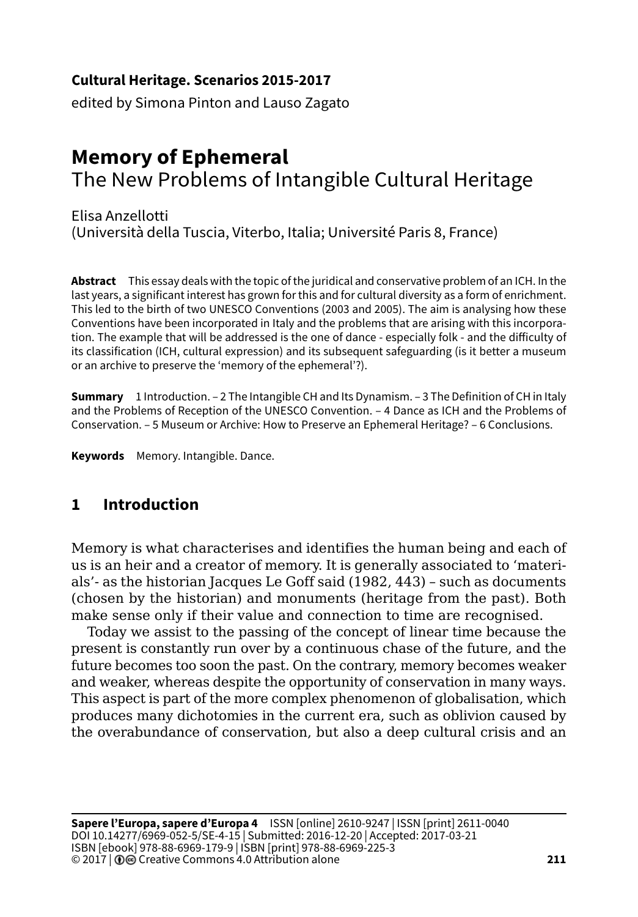#### **Cultural Heritage. Scenarios 2015-2017**

edited by Simona Pinton and Lauso Zagato

# **Memory of Ephemeral** The New Problems of Intangible Cultural Heritage

Elisa Anzellotti (Università della Tuscia, Viterbo, Italia; Université Paris 8, France)

**Abstract** This essay deals with the topic of the juridical and conservative problem of an ICH. In the last years, a significant interest has grown for this and for cultural diversity as a form of enrichment. This led to the birth of two UNESCO Conventions (2003 and 2005). The aim is analysing how these Conventions have been incorporated in Italy and the problems that are arising with this incorporation. The example that will be addressed is the one of dance - especially folk - and the difficulty of its classification (ICH, cultural expression) and its subsequent safeguarding (is it better a museum or an archive to preserve the 'memory of the ephemeral'?).

**Summary** 1 Introduction. – 2 The Intangible CH and Its Dynamism. – 3 The Definition of CH in Italy and the Problems of Reception of the UNESCO Convention. – 4 Dance as ICH and the Problems of Conservation. – 5 Museum or Archive: How to Preserve an Ephemeral Heritage? – 6 Conclusions.

**Keywords** Memory. Intangible. Dance.

# **1 Introduction**

Memory is what characterises and identifies the human being and each of us is an heir and a creator of memory. It is generally associated to 'materials'- as the historian Jacques Le Goff said (1982, 443) – such as documents (chosen by the historian) and monuments (heritage from the past). Both make sense only if their value and connection to time are recognised.

Today we assist to the passing of the concept of linear time because the present is constantly run over by a continuous chase of the future, and the future becomes too soon the past. On the contrary, memory becomes weaker and weaker, whereas despite the opportunity of conservation in many ways. This aspect is part of the more complex phenomenon of globalisation, which produces many dichotomies in the current era, such as oblivion caused by the overabundance of conservation, but also a deep cultural crisis and an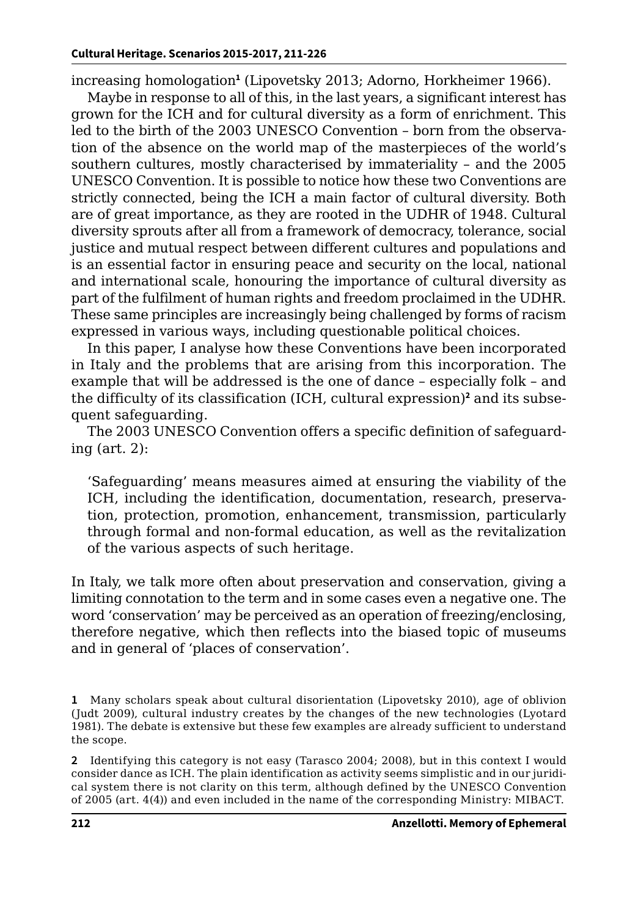increasing homologation**<sup>1</sup>** (Lipovetsky 2013; Adorno, Horkheimer 1966).

Maybe in response to all of this, in the last years, a significant interest has grown for the ICH and for cultural diversity as a form of enrichment. This led to the birth of the 2003 UNESCO Convention – born from the observation of the absence on the world map of the masterpieces of the world's southern cultures, mostly characterised by immateriality – and the 2005 UNESCO Convention. It is possible to notice how these two Conventions are strictly connected, being the ICH a main factor of cultural diversity. Both are of great importance, as they are rooted in the UDHR of 1948. Cultural diversity sprouts after all from a framework of democracy, tolerance, social justice and mutual respect between different cultures and populations and is an essential factor in ensuring peace and security on the local, national and international scale, honouring the importance of cultural diversity as part of the fulfilment of human rights and freedom proclaimed in the UDHR. These same principles are increasingly being challenged by forms of racism expressed in various ways, including questionable political choices.

In this paper, I analyse how these Conventions have been incorporated in Italy and the problems that are arising from this incorporation. The example that will be addressed is the one of dance – especially folk – and the difficulty of its classification (ICH, cultural expression)**<sup>2</sup>** and its subsequent safeguarding.

The 2003 UNESCO Convention offers a specific definition of safeguarding (art. 2):

'Safeguarding' means measures aimed at ensuring the viability of the ICH, including the identification, documentation, research, preservation, protection, promotion, enhancement, transmission, particularly through formal and non-formal education, as well as the revitalization of the various aspects of such heritage.

In Italy, we talk more often about preservation and conservation, giving a limiting connotation to the term and in some cases even a negative one. The word 'conservation' may be perceived as an operation of freezing/enclosing, therefore negative, which then reflects into the biased topic of museums and in general of 'places of conservation'.

**2** Identifying this category is not easy (Tarasco 2004; 2008), but in this context I would consider dance as ICH. The plain identification as activity seems simplistic and in our juridical system there is not clarity on this term, although defined by the UNESCO Convention of 2005 (art. 4(4)) and even included in the name of the corresponding Ministry: MIBACT.

**<sup>1</sup>** Many scholars speak about cultural disorientation (Lipovetsky 2010), age of oblivion (Judt 2009), cultural industry creates by the changes of the new technologies (Lyotard 1981). The debate is extensive but these few examples are already sufficient to understand the scope.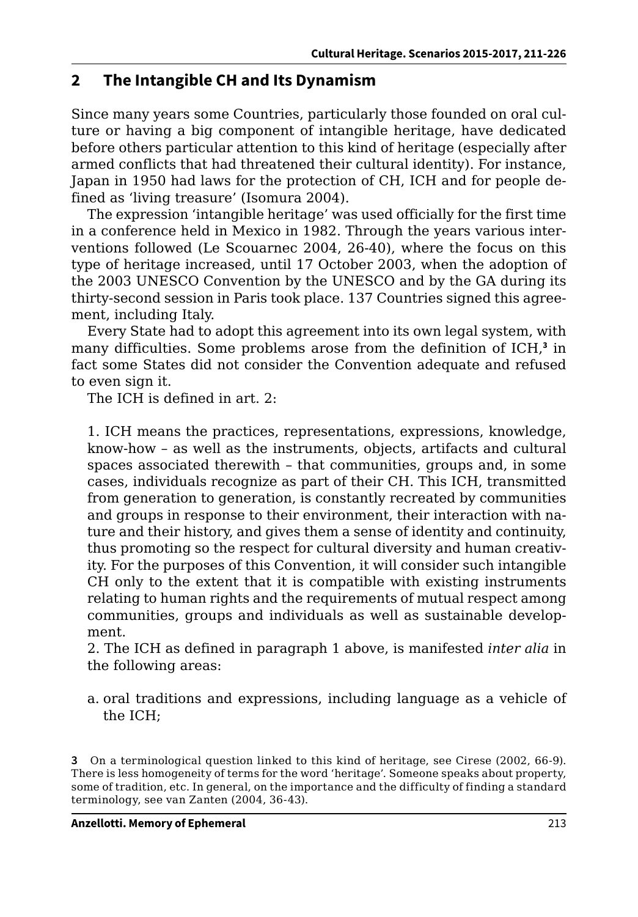## **2 The Intangible CH and Its Dynamism**

Since many years some Countries, particularly those founded on oral culture or having a big component of intangible heritage, have dedicated before others particular attention to this kind of heritage (especially after armed conflicts that had threatened their cultural identity). For instance, Japan in 1950 had laws for the protection of CH, ICH and for people defined as 'living treasure' (Isomura 2004).

The expression 'intangible heritage' was used officially for the first time in a conference held in Mexico in 1982. Through the years various interventions followed (Le Scouarnec 2004, 26-40), where the focus on this type of heritage increased, until 17 October 2003, when the adoption of the 2003 UNESCO Convention by the UNESCO and by the GA during its thirty-second session in Paris took place. 137 Countries signed this agreement, including Italy.

Every State had to adopt this agreement into its own legal system, with many difficulties. Some problems arose from the definition of ICH,**<sup>3</sup>** in fact some States did not consider the Convention adequate and refused to even sign it.

The ICH is defined in art. 2:

1. ICH means the practices, representations, expressions, knowledge, know-how – as well as the instruments, objects, artifacts and cultural spaces associated therewith – that communities, groups and, in some cases, individuals recognize as part of their CH. This ICH, transmitted from generation to generation, is constantly recreated by communities and groups in response to their environment, their interaction with nature and their history, and gives them a sense of identity and continuity, thus promoting so the respect for cultural diversity and human creativity. For the purposes of this Convention, it will consider such intangible CH only to the extent that it is compatible with existing instruments relating to human rights and the requirements of mutual respect among communities, groups and individuals as well as sustainable development.

2. The ICH as defined in paragraph 1 above, is manifested *inter alia* in the following areas:

a. oral traditions and expressions, including language as a vehicle of the ICH;

**<sup>3</sup>** On a terminological question linked to this kind of heritage, see Cirese (2002, 66-9). There is less homogeneity of terms for the word 'heritage'. Someone speaks about property, some of tradition, etc. In general, on the importance and the difficulty of finding a standard terminology, see van Zanten (2004, 36-43).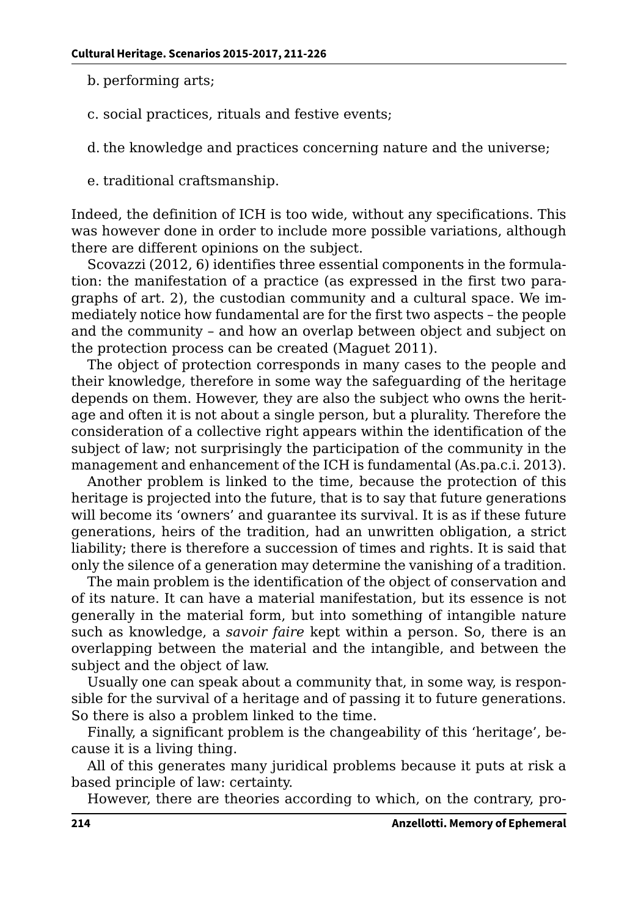- b. performing arts;
- c. social practices, rituals and festive events;
- d. the knowledge and practices concerning nature and the universe;
- e. traditional craftsmanship.

Indeed, the definition of ICH is too wide, without any specifications. This was however done in order to include more possible variations, although there are different opinions on the subject.

Scovazzi (2012, 6) identifies three essential components in the formulation: the manifestation of a practice (as expressed in the first two paragraphs of art. 2), the custodian community and a cultural space. We immediately notice how fundamental are for the first two aspects – the people and the community – and how an overlap between object and subject on the protection process can be created (Maguet 2011).

The object of protection corresponds in many cases to the people and their knowledge, therefore in some way the safeguarding of the heritage depends on them. However, they are also the subject who owns the heritage and often it is not about a single person, but a plurality. Therefore the consideration of a collective right appears within the identification of the subject of law; not surprisingly the participation of the community in the management and enhancement of the ICH is fundamental (As.pa.c.i. 2013).

Another problem is linked to the time, because the protection of this heritage is projected into the future, that is to say that future generations will become its 'owners' and guarantee its survival. It is as if these future generations, heirs of the tradition, had an unwritten obligation, a strict liability; there is therefore a succession of times and rights. It is said that only the silence of a generation may determine the vanishing of a tradition.

The main problem is the identification of the object of conservation and of its nature. It can have a material manifestation, but its essence is not generally in the material form, but into something of intangible nature such as knowledge, a *savoir faire* kept within a person. So, there is an overlapping between the material and the intangible, and between the subject and the object of law.

Usually one can speak about a community that, in some way, is responsible for the survival of a heritage and of passing it to future generations. So there is also a problem linked to the time.

Finally, a significant problem is the changeability of this 'heritage', because it is a living thing.

All of this generates many juridical problems because it puts at risk a based principle of law: certainty.

However, there are theories according to which, on the contrary, pro-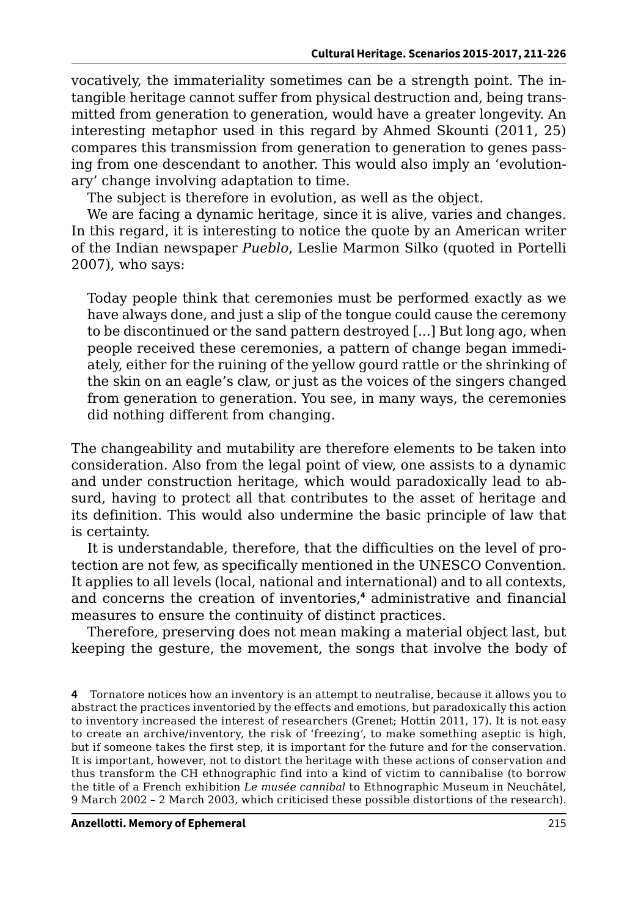vocatively, the immateriality sometimes can be a strength point. The intangible heritage cannot suffer from physical destruction and, being transmitted from generation to generation, would have a greater longevity. An interesting metaphor used in this regard by Ahmed Skounti (2011, 25) compares this transmission from generation to generation to genes passing from one descendant to another. This would also imply an 'evolutionary' change involving adaptation to time.

The subject is therefore in evolution, as well as the object.

We are facing a dynamic heritage, since it is alive, varies and changes. In this regard, it is interesting to notice the quote by an American writer of the Indian newspaper *Pueblo*, Leslie Marmon Silko (quoted in Portelli 2007), who says:

Today people think that ceremonies must be performed exactly as we have always done, and just a slip of the tongue could cause the ceremony to be discontinued or the sand pattern destroyed [...] But long ago, when people received these ceremonies, a pattern of change began immediately, either for the ruining of the yellow gourd rattle or the shrinking of the skin on an eagle's claw, or just as the voices of the singers changed from generation to generation. You see, in many ways, the ceremonies did nothing different from changing.

The changeability and mutability are therefore elements to be taken into consideration. Also from the legal point of view, one assists to a dynamic and under construction heritage, which would paradoxically lead to absurd, having to protect all that contributes to the asset of heritage and its definition. This would also undermine the basic principle of law that is certainty.

It is understandable, therefore, that the difficulties on the level of protection are not few, as specifically mentioned in the UNESCO Convention. It applies to all levels (local, national and international) and to all contexts, and concerns the creation of inventories,**<sup>4</sup>** administrative and financial measures to ensure the continuity of distinct practices.

Therefore, preserving does not mean making a material object last, but keeping the gesture, the movement, the songs that involve the body of

**4** Tornatore notices how an inventory is an attempt to neutralise, because it allows you to abstract the practices inventoried by the effects and emotions, but paradoxically this action to inventory increased the interest of researchers (Grenet; Hottin 2011, 17). It is not easy to create an archive/inventory, the risk of 'freezing', to make something aseptic is high, but if someone takes the first step, it is important for the future and for the conservation. It is important, however, not to distort the heritage with these actions of conservation and thus transform the CH ethnographic find into a kind of victim to cannibalise (to borrow the title of a French exhibition *Le musée cannibal* to Ethnographic Museum in Neuchâtel, 9 March 2002 – 2 March 2003, which criticised these possible distortions of the research).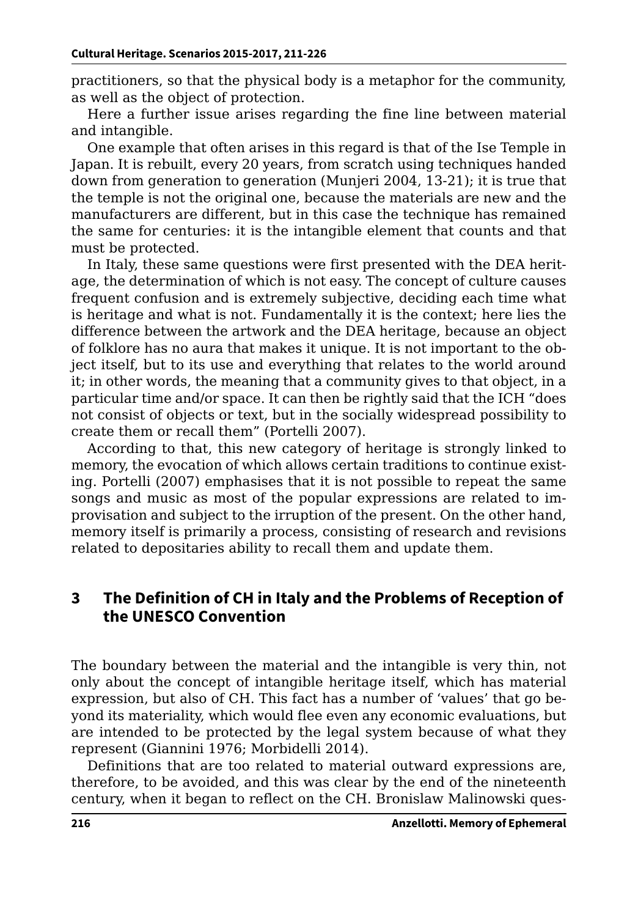practitioners, so that the physical body is a metaphor for the community, as well as the object of protection.

Here a further issue arises regarding the fine line between material and intangible.

One example that often arises in this regard is that of the Ise Temple in Japan. It is rebuilt, every 20 years, from scratch using techniques handed down from generation to generation (Munjeri 2004, 13-21); it is true that the temple is not the original one, because the materials are new and the manufacturers are different, but in this case the technique has remained the same for centuries: it is the intangible element that counts and that must be protected.

In Italy, these same questions were first presented with the DEA heritage, the determination of which is not easy. The concept of culture causes frequent confusion and is extremely subjective, deciding each time what is heritage and what is not. Fundamentally it is the context; here lies the difference between the artwork and the DEA heritage, because an object of folklore has no aura that makes it unique. It is not important to the object itself, but to its use and everything that relates to the world around it; in other words, the meaning that a community gives to that object, in a particular time and/or space. It can then be rightly said that the ICH "does not consist of objects or text, but in the socially widespread possibility to create them or recall them" (Portelli 2007).

According to that, this new category of heritage is strongly linked to memory, the evocation of which allows certain traditions to continue existing. Portelli (2007) emphasises that it is not possible to repeat the same songs and music as most of the popular expressions are related to improvisation and subject to the irruption of the present. On the other hand, memory itself is primarily a process, consisting of research and revisions related to depositaries ability to recall them and update them.

#### **3 The Definition of CH in Italy and the Problems of Reception of the UNESCO Convention**

The boundary between the material and the intangible is very thin, not only about the concept of intangible heritage itself, which has material expression, but also of CH. This fact has a number of 'values' that go beyond its materiality, which would flee even any economic evaluations, but are intended to be protected by the legal system because of what they represent (Giannini 1976; Morbidelli 2014).

Definitions that are too related to material outward expressions are, therefore, to be avoided, and this was clear by the end of the nineteenth century, when it began to reflect on the CH. Bronislaw Malinowski ques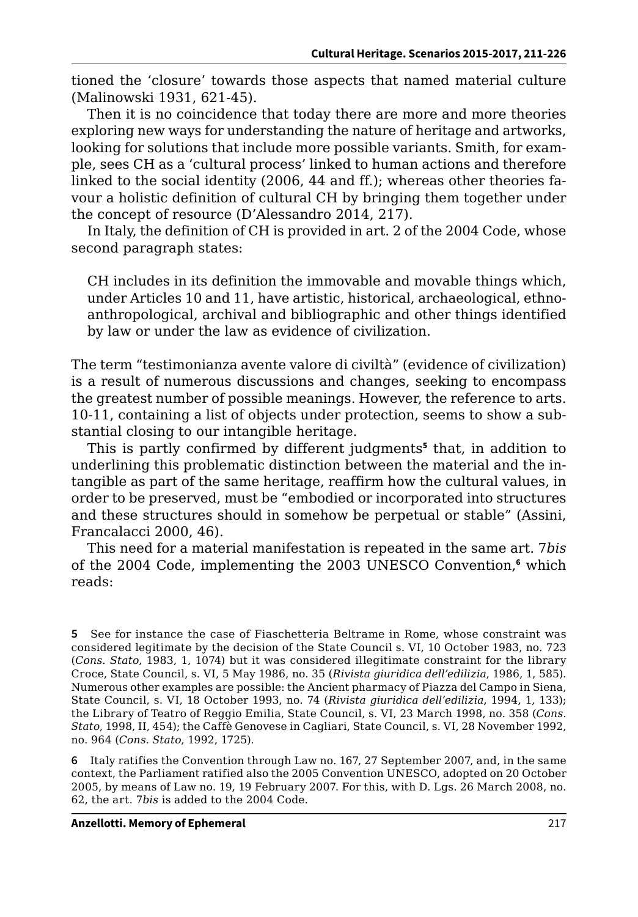tioned the 'closure' towards those aspects that named material culture (Malinowski 1931, 621-45).

Then it is no coincidence that today there are more and more theories exploring new ways for understanding the nature of heritage and artworks, looking for solutions that include more possible variants. Smith, for example, sees CH as a 'cultural process' linked to human actions and therefore linked to the social identity (2006, 44 and ff.); whereas other theories favour a holistic definition of cultural CH by bringing them together under the concept of resource (D'Alessandro 2014, 217).

In Italy, the definition of CH is provided in art. 2 of the 2004 Code, whose second paragraph states:

CH includes in its definition the immovable and movable things which, under Articles 10 and 11, have artistic, historical, archaeological, ethnoanthropological, archival and bibliographic and other things identified by law or under the law as evidence of civilization.

The term "testimonianza avente valore di civiltà" (evidence of civilization) is a result of numerous discussions and changes, seeking to encompass the greatest number of possible meanings. However, the reference to arts. 10-11, containing a list of objects under protection, seems to show a substantial closing to our intangible heritage.

This is partly confirmed by different judgments**<sup>5</sup>** that, in addition to underlining this problematic distinction between the material and the intangible as part of the same heritage, reaffirm how the cultural values, in order to be preserved, must be "embodied or incorporated into structures and these structures should in somehow be perpetual or stable" (Assini, Francalacci 2000, 46).

This need for a material manifestation is repeated in the same art. 7*bis* of the 2004 Code, implementing the 2003 UNESCO Convention,<sup>6</sup> which reads:

**6** Italy ratifies the Convention through Law no. 167, 27 September 2007, and, in the same context, the Parliament ratified also the 2005 Convention UNESCO, adopted on 20 October 2005, by means of Law no. 19, 19 February 2007. For this, with D. Lgs. 26 March 2008, no. 62, the art. 7*bis* is added to the 2004 Code.

**<sup>5</sup>** See for instance the case of Fiaschetteria Beltrame in Rome, whose constraint was considered legitimate by the decision of the State Council s. VI, 10 October 1983, no. 723 (*Cons. Stato*, 1983, 1, 1074) but it was considered illegitimate constraint for the library Croce, State Council, s. VI, 5 May 1986, no. 35 (*Rivista giuridica dell'edilizia*, 1986, 1, 585). Numerous other examples are possible: the Ancient pharmacy of Piazza del Campo in Siena, State Council, s. VI, 18 October 1993, no. 74 (*Rivista giuridica dell'edilizia*, 1994, 1, 133); the Library of Teatro of Reggio Emilia, State Council, s. VI, 23 March 1998, no. 358 (*Cons. Stato*, 1998, II, 454); the Caffè Genovese in Cagliari, State Council, s. VI, 28 November 1992, no. 964 (*Cons. Stato*, 1992, 1725).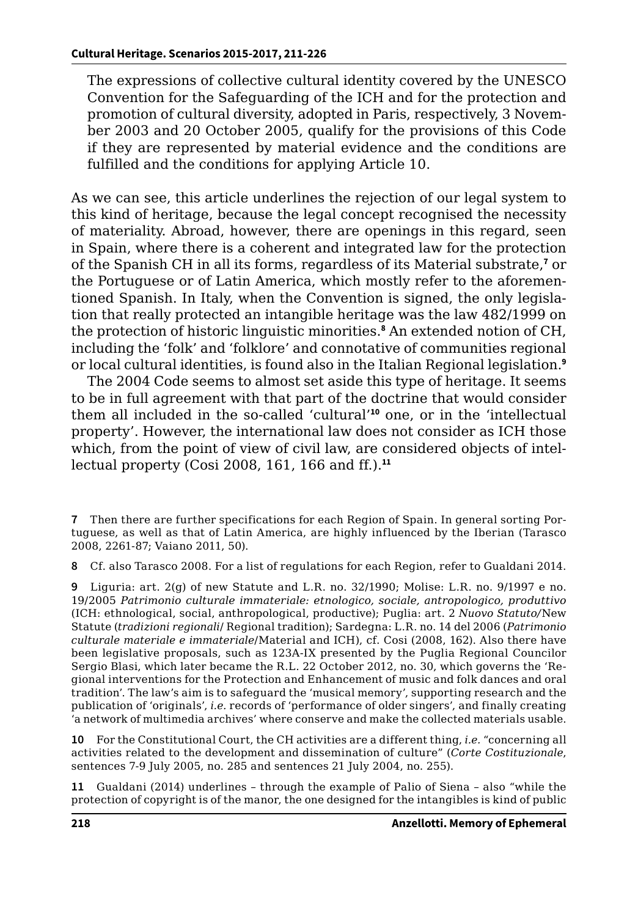The expressions of collective cultural identity covered by the UNESCO Convention for the Safeguarding of the ICH and for the protection and promotion of cultural diversity, adopted in Paris, respectively, 3 November 2003 and 20 October 2005, qualify for the provisions of this Code if they are represented by material evidence and the conditions are fulfilled and the conditions for applying Article 10.

As we can see, this article underlines the rejection of our legal system to this kind of heritage, because the legal concept recognised the necessity of materiality. Abroad, however, there are openings in this regard, seen in Spain, where there is a coherent and integrated law for the protection of the Spanish CH in all its forms, regardless of its Material substrate,**<sup>7</sup>** or the Portuguese or of Latin America, which mostly refer to the aforementioned Spanish. In Italy, when the Convention is signed, the only legislation that really protected an intangible heritage was the law 482/1999 on the protection of historic linguistic minorities.**<sup>8</sup>** An extended notion of CH, including the 'folk' and 'folklore' and connotative of communities regional or local cultural identities, is found also in the Italian Regional legislation.**<sup>9</sup>**

The 2004 Code seems to almost set aside this type of heritage. It seems to be in full agreement with that part of the doctrine that would consider them all included in the so-called 'cultural'**<sup>10</sup>** one, or in the 'intellectual property'. However, the international law does not consider as ICH those which, from the point of view of civil law, are considered objects of intellectual property (Cosi 2008, 161, 166 and ff.).**<sup>11</sup>**

**8** Cf. also Tarasco 2008. For a list of regulations for each Region, refer to Gualdani 2014.

**9** Liguria: art. 2(g) of new Statute and L.R. no. 32/1990; Molise: L.R. no. 9/1997 e no. 19/2005 *Patrimonio culturale immateriale: etnologico, sociale, antropologico, produttivo* (ICH: ethnological, social, anthropological, productive); Puglia: art. 2 *Nuovo Statuto/*New Statute (*tradizioni regionali*/ Regional tradition); Sardegna: L.R. no. 14 del 2006 (*Patrimonio culturale materiale e immateriale*/Material and ICH), cf. Cosi (2008, 162). Also there have been legislative proposals, such as 123A-IX presented by the Puglia Regional Councilor Sergio Blasi, which later became the R.L. 22 October 2012, no. 30, which governs the 'Regional interventions for the Protection and Enhancement of music and folk dances and oral tradition'. The law's aim is to safeguard the 'musical memory', supporting research and the publication of 'originals', *i.e.* records of 'performance of older singers', and finally creating 'a network of multimedia archives' where conserve and make the collected materials usable.

**10** For the Constitutional Court, the CH activities are a different thing, *i.e.* "concerning all activities related to the development and dissemination of culture" (*Corte Costituzionale*, sentences 7-9 July 2005, no. 285 and sentences 21 July 2004, no. 255).

**11** Gualdani (2014) underlines – through the example of Palio of Siena – also "while the protection of copyright is of the manor, the one designed for the intangibles is kind of public

**<sup>7</sup>** Then there are further specifications for each Region of Spain. In general sorting Portuguese, as well as that of Latin America, are highly influenced by the Iberian (Tarasco 2008, 2261-87; Vaiano 2011, 50).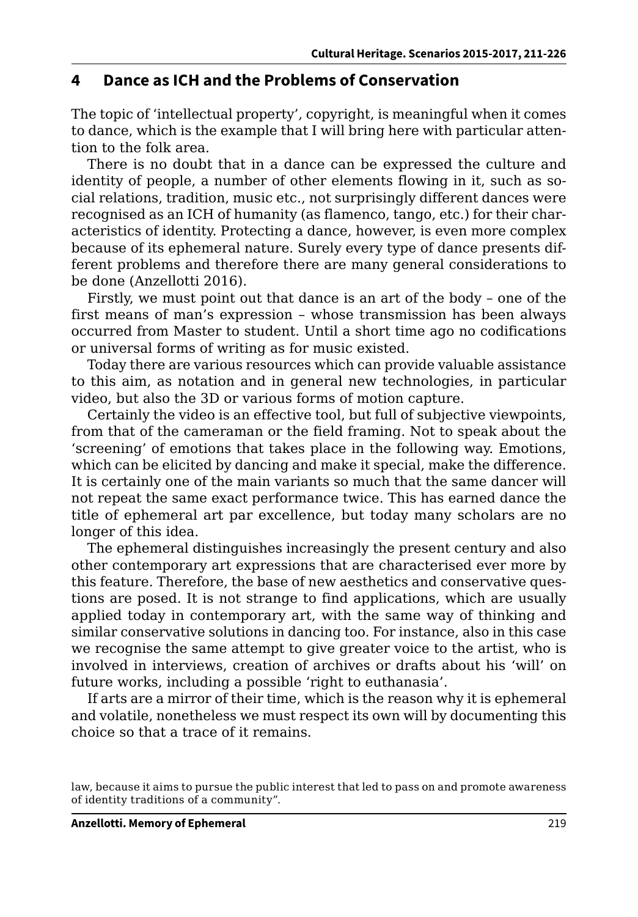#### **4 Dance as ICH and the Problems of Conservation**

The topic of 'intellectual property', copyright, is meaningful when it comes to dance, which is the example that I will bring here with particular attention to the folk area.

There is no doubt that in a dance can be expressed the culture and identity of people, a number of other elements flowing in it, such as social relations, tradition, music etc., not surprisingly different dances were recognised as an ICH of humanity (as flamenco, tango, etc.) for their characteristics of identity. Protecting a dance, however, is even more complex because of its ephemeral nature. Surely every type of dance presents different problems and therefore there are many general considerations to be done (Anzellotti 2016).

Firstly, we must point out that dance is an art of the body – one of the first means of man's expression – whose transmission has been always occurred from Master to student. Until a short time ago no codifications or universal forms of writing as for music existed.

Today there are various resources which can provide valuable assistance to this aim, as notation and in general new technologies, in particular video, but also the 3D or various forms of motion capture.

Certainly the video is an effective tool, but full of subjective viewpoints, from that of the cameraman or the field framing. Not to speak about the 'screening' of emotions that takes place in the following way. Emotions, which can be elicited by dancing and make it special, make the difference. It is certainly one of the main variants so much that the same dancer will not repeat the same exact performance twice. This has earned dance the title of ephemeral art par excellence, but today many scholars are no longer of this idea.

The ephemeral distinguishes increasingly the present century and also other contemporary art expressions that are characterised ever more by this feature. Therefore, the base of new aesthetics and conservative questions are posed. It is not strange to find applications, which are usually applied today in contemporary art, with the same way of thinking and similar conservative solutions in dancing too. For instance, also in this case we recognise the same attempt to give greater voice to the artist, who is involved in interviews, creation of archives or drafts about his 'will' on future works, including a possible 'right to euthanasia'.

If arts are a mirror of their time, which is the reason why it is ephemeral and volatile, nonetheless we must respect its own will by documenting this choice so that a trace of it remains.

law, because it aims to pursue the public interest that led to pass on and promote awareness of identity traditions of a community".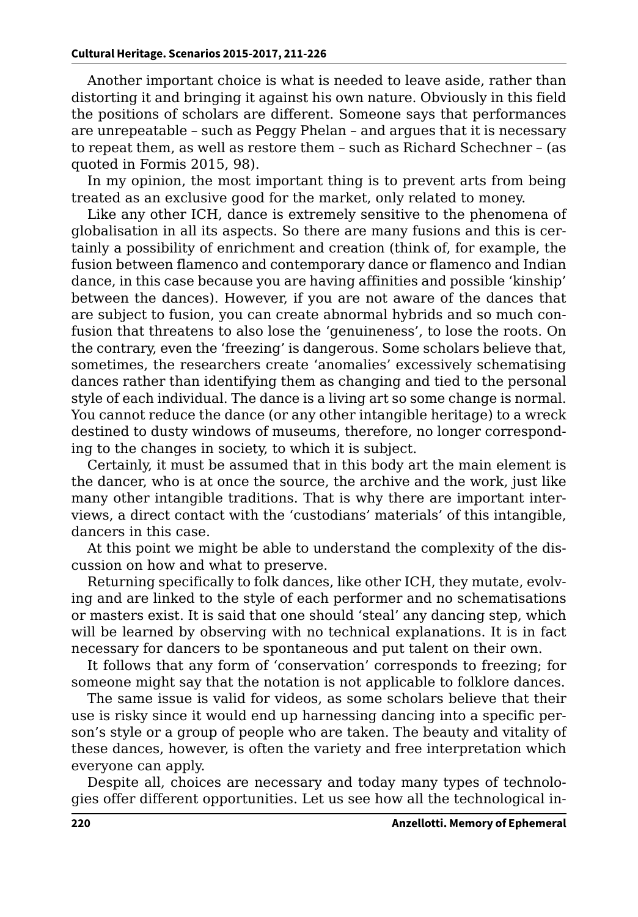Another important choice is what is needed to leave aside, rather than distorting it and bringing it against his own nature. Obviously in this field the positions of scholars are different. Someone says that performances are unrepeatable – such as Peggy Phelan – and argues that it is necessary to repeat them, as well as restore them – such as Richard Schechner – (as quoted in Formis 2015, 98).

In my opinion, the most important thing is to prevent arts from being treated as an exclusive good for the market, only related to money.

Like any other ICH, dance is extremely sensitive to the phenomena of globalisation in all its aspects. So there are many fusions and this is certainly a possibility of enrichment and creation (think of, for example, the fusion between flamenco and contemporary dance or flamenco and Indian dance, in this case because you are having affinities and possible 'kinship' between the dances). However, if you are not aware of the dances that are subject to fusion, you can create abnormal hybrids and so much confusion that threatens to also lose the 'genuineness', to lose the roots. On the contrary, even the 'freezing' is dangerous. Some scholars believe that, sometimes, the researchers create 'anomalies' excessively schematising dances rather than identifying them as changing and tied to the personal style of each individual. The dance is a living art so some change is normal. You cannot reduce the dance (or any other intangible heritage) to a wreck destined to dusty windows of museums, therefore, no longer corresponding to the changes in society, to which it is subject.

Certainly, it must be assumed that in this body art the main element is the dancer, who is at once the source, the archive and the work, just like many other intangible traditions. That is why there are important interviews, a direct contact with the 'custodians' materials' of this intangible, dancers in this case.

At this point we might be able to understand the complexity of the discussion on how and what to preserve.

Returning specifically to folk dances, like other ICH, they mutate, evolving and are linked to the style of each performer and no schematisations or masters exist. It is said that one should 'steal' any dancing step, which will be learned by observing with no technical explanations. It is in fact necessary for dancers to be spontaneous and put talent on their own.

It follows that any form of 'conservation' corresponds to freezing; for someone might say that the notation is not applicable to folklore dances.

The same issue is valid for videos, as some scholars believe that their use is risky since it would end up harnessing dancing into a specific person's style or a group of people who are taken. The beauty and vitality of these dances, however, is often the variety and free interpretation which everyone can apply.

Despite all, choices are necessary and today many types of technologies offer different opportunities. Let us see how all the technological in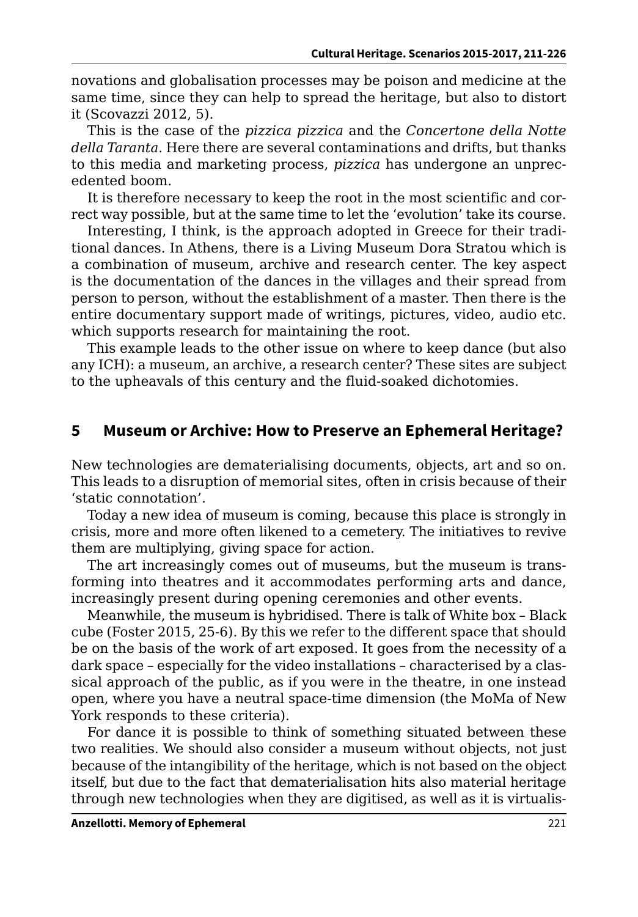novations and globalisation processes may be poison and medicine at the same time, since they can help to spread the heritage, but also to distort it (Scovazzi 2012, 5).

This is the case of the *pizzica pizzica* and the *Concertone della Notte della Taranta*. Here there are several contaminations and drifts, but thanks to this media and marketing process, *pizzica* has undergone an unprecedented boom.

It is therefore necessary to keep the root in the most scientific and correct way possible, but at the same time to let the 'evolution' take its course.

Interesting, I think, is the approach adopted in Greece for their traditional dances. In Athens, there is a Living Museum Dora Stratou which is a combination of museum, archive and research center. The key aspect is the documentation of the dances in the villages and their spread from person to person, without the establishment of a master. Then there is the entire documentary support made of writings, pictures, video, audio etc. which supports research for maintaining the root.

This example leads to the other issue on where to keep dance (but also any ICH): a museum, an archive, a research center? These sites are subject to the upheavals of this century and the fluid-soaked dichotomies.

## **5 Museum or Archive: How to Preserve an Ephemeral Heritage?**

New technologies are dematerialising documents, objects, art and so on. This leads to a disruption of memorial sites, often in crisis because of their 'static connotation'.

Today a new idea of museum is coming, because this place is strongly in crisis, more and more often likened to a cemetery. The initiatives to revive them are multiplying, giving space for action.

The art increasingly comes out of museums, but the museum is transforming into theatres and it accommodates performing arts and dance, increasingly present during opening ceremonies and other events.

Meanwhile, the museum is hybridised. There is talk of White box – Black cube (Foster 2015, 25-6). By this we refer to the different space that should be on the basis of the work of art exposed. It goes from the necessity of a dark space – especially for the video installations – characterised by a classical approach of the public, as if you were in the theatre, in one instead open, where you have a neutral space-time dimension (the MoMa of New York responds to these criteria).

For dance it is possible to think of something situated between these two realities. We should also consider a museum without objects, not just because of the intangibility of the heritage, which is not based on the object itself, but due to the fact that dematerialisation hits also material heritage through new technologies when they are digitised, as well as it is virtualis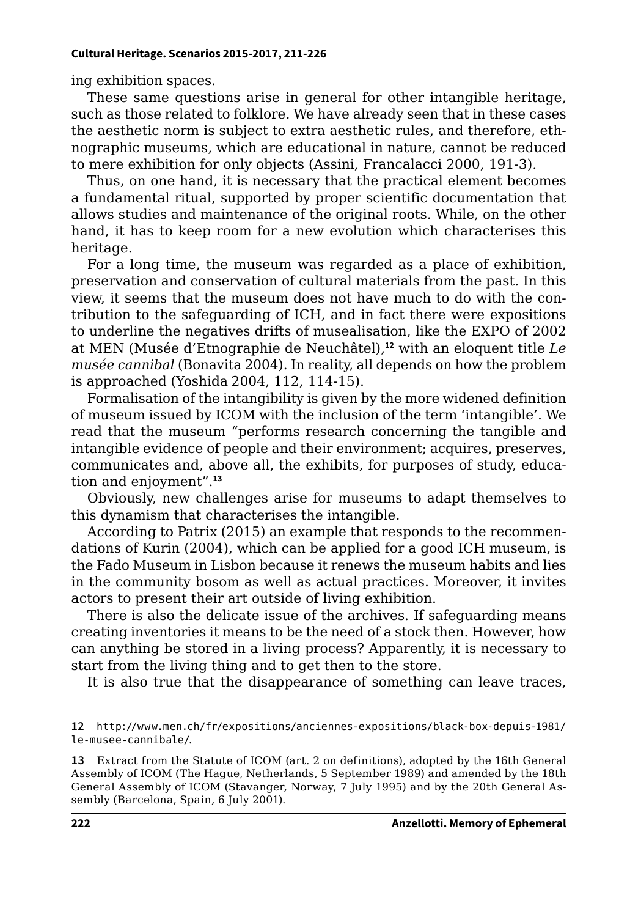ing exhibition spaces.

These same questions arise in general for other intangible heritage, such as those related to folklore. We have already seen that in these cases the aesthetic norm is subject to extra aesthetic rules, and therefore, ethnographic museums, which are educational in nature, cannot be reduced to mere exhibition for only objects (Assini, Francalacci 2000, 191-3).

Thus, on one hand, it is necessary that the practical element becomes a fundamental ritual, supported by proper scientific documentation that allows studies and maintenance of the original roots. While, on the other hand, it has to keep room for a new evolution which characterises this heritage.

For a long time, the museum was regarded as a place of exhibition, preservation and conservation of cultural materials from the past. In this view, it seems that the museum does not have much to do with the contribution to the safeguarding of ICH, and in fact there were expositions to underline the negatives drifts of musealisation, like the EXPO of 2002 at MEN (Musée d'Etnographie de Neuchâtel),**<sup>12</sup>** with an eloquent title *Le musée cannibal* (Bonavita 2004). In reality, all depends on how the problem is approached (Yoshida 2004, 112, 114-15).

Formalisation of the intangibility is given by the more widened definition of museum issued by ICOM with the inclusion of the term 'intangible'. We read that the museum "performs research concerning the tangible and intangible evidence of people and their environment; acquires, preserves, communicates and, above all, the exhibits, for purposes of study, education and enjoyment".**<sup>13</sup>**

Obviously, new challenges arise for museums to adapt themselves to this dynamism that characterises the intangible.

According to Patrix (2015) an example that responds to the recommendations of Kurin (2004), which can be applied for a good ICH museum, is the Fado Museum in Lisbon because it renews the museum habits and lies in the community bosom as well as actual practices. Moreover, it invites actors to present their art outside of living exhibition.

There is also the delicate issue of the archives. If safeguarding means creating inventories it means to be the need of a stock then. However, how can anything be stored in a living process? Apparently, it is necessary to start from the living thing and to get then to the store.

It is also true that the disappearance of something can leave traces,

**13** Extract from the Statute of ICOM (art. 2 on definitions), adopted by the 16th General Assembly of ICOM (The Hague, Netherlands, 5 September 1989) and amended by the 18th General Assembly of ICOM (Stavanger, Norway, 7 July 1995) and by the 20th General Assembly (Barcelona, Spain, 6 July 2001).

**<sup>12</sup>** [http://www.men.ch/fr/expositions/anciennes-expositions/black-box-depuis-1981/](http://www.men.ch/fr/expositions/anciennes-expositions/black-box-depuis-1981/le-musee-cannibale/) [le-musee-cannibale/](http://www.men.ch/fr/expositions/anciennes-expositions/black-box-depuis-1981/le-musee-cannibale/).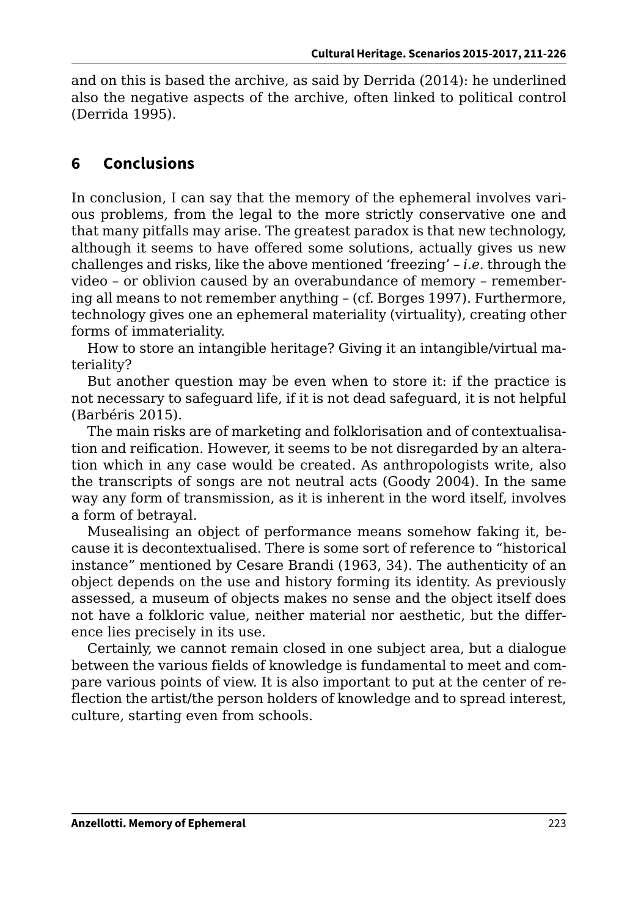and on this is based the archive, as said by Derrida (2014): he underlined also the negative aspects of the archive, often linked to political control (Derrida 1995).

# **6 Conclusions**

In conclusion, I can say that the memory of the ephemeral involves various problems, from the legal to the more strictly conservative one and that many pitfalls may arise. The greatest paradox is that new technology, although it seems to have offered some solutions, actually gives us new challenges and risks, like the above mentioned 'freezing' – *i.e.* through the video – or oblivion caused by an overabundance of memory – remembering all means to not remember anything – (cf. Borges 1997). Furthermore, technology gives one an ephemeral materiality (virtuality), creating other forms of immateriality.

How to store an intangible heritage? Giving it an intangible/virtual materiality?

But another question may be even when to store it: if the practice is not necessary to safeguard life, if it is not dead safeguard, it is not helpful (Barbéris 2015).

The main risks are of marketing and folklorisation and of contextualisation and reification. However, it seems to be not disregarded by an alteration which in any case would be created. As anthropologists write, also the transcripts of songs are not neutral acts (Goody 2004). In the same way any form of transmission, as it is inherent in the word itself, involves a form of betrayal.

Musealising an object of performance means somehow faking it, because it is decontextualised. There is some sort of reference to "historical instance" mentioned by Cesare Brandi (1963, 34). The authenticity of an object depends on the use and history forming its identity. As previously assessed, a museum of objects makes no sense and the object itself does not have a folkloric value, neither material nor aesthetic, but the difference lies precisely in its use.

Certainly, we cannot remain closed in one subject area, but a dialogue between the various fields of knowledge is fundamental to meet and compare various points of view. It is also important to put at the center of reflection the artist/the person holders of knowledge and to spread interest, culture, starting even from schools.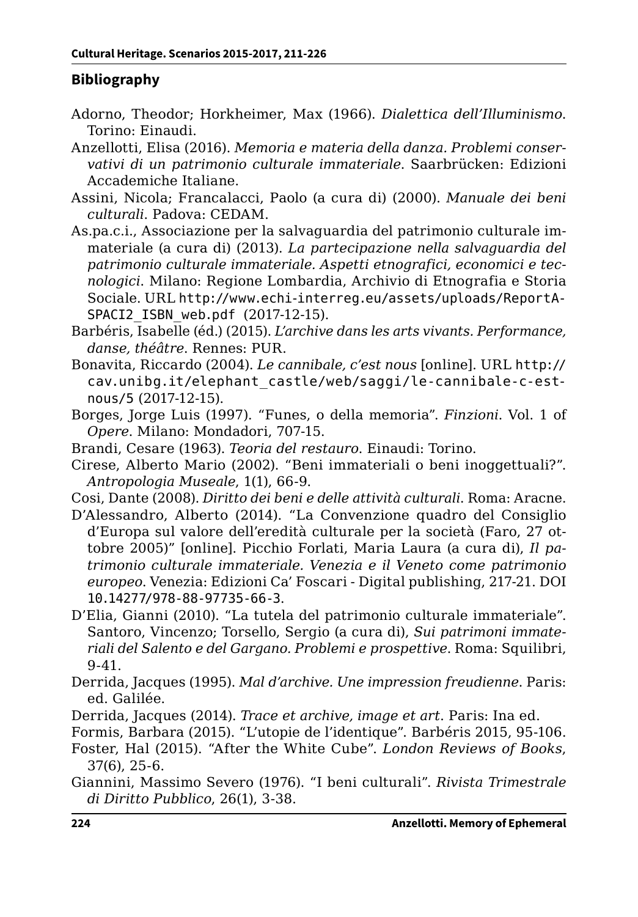## **Bibliography**

- Adorno, Theodor; Horkheimer, Max (1966). *Dialettica dell'Illuminismo*. Torino: Einaudi.
- Anzellotti, Elisa (2016). *Memoria e materia della danza. Problemi conservativi di un patrimonio culturale immateriale*. Saarbrücken: Edizioni Accademiche Italiane.
- Assini, Nicola; Francalacci, Paolo (a cura di) (2000). *Manuale dei beni culturali*. Padova: CEDAM.
- As.pa.c.i., Associazione per la salvaguardia del patrimonio culturale immateriale (a cura di) (2013). *La partecipazione nella salvaguardia del patrimonio culturale immateriale. Aspetti etnografici, economici e tecnologici*. Milano: Regione Lombardia, Archivio di Etnografia e Storia Sociale. URL [http://www.echi-interreg.eu/assets/uploads/ReportA-](http://www.echi-interreg.eu/assets/uploads/ReportASPACI2_ISBN_web.pdf )[SPACI2\\_ISBN\\_web.pdf](http://www.echi-interreg.eu/assets/uploads/ReportASPACI2_ISBN_web.pdf ) (2017-12-15).
- Barbéris, Isabelle (éd.) (2015). *L'archive dans les arts vivants. Performance, danse, théâtre*. Rennes: PUR.
- Bonavita, Riccardo (2004). *Le cannibale, c'est nous* [online]. URL [http://](http://cav.unibg.it/elephant_castle/web/saggi/le-cannibale-c-est-nous/5) [cav.unibg.it/elephant\\_castle/web/saggi/le-cannibale-c-est](http://cav.unibg.it/elephant_castle/web/saggi/le-cannibale-c-est-nous/5)[nous/5](http://cav.unibg.it/elephant_castle/web/saggi/le-cannibale-c-est-nous/5) (2017-12-15).
- Borges, Jorge Luis (1997). "Funes, o della memoria". *Finzioni*. Vol. 1 of *Opere*. Milano: Mondadori, 707-15.
- Brandi, Cesare (1963). *Teoria del restauro*. Einaudi: Torino.
- Cirese, Alberto Mario (2002). "Beni immateriali o beni inoggettuali?". *Antropologia Museale*, 1(1), 66-9.
- Cosi, Dante (2008). *Diritto dei beni e delle attività culturali*. Roma: Aracne.
- D'Alessandro, Alberto (2014). "La Convenzione quadro del Consiglio d'Europa sul valore dell'eredità culturale per la società (Faro, 27 ottobre 2005)" [online]. Picchio Forlati, Maria Laura (a cura di), *Il patrimonio culturale immateriale. Venezia e il Veneto come patrimonio europeo*. Venezia: Edizioni Ca' Foscari - Digital publishing, 217-21. DOI [10.14277/978-88-97735-66-3](http://doi.org/10.14277/978-88-97735-66-3).
- D'Elia, Gianni (2010). "La tutela del patrimonio culturale immateriale". Santoro, Vincenzo; Torsello, Sergio (a cura di), *Sui patrimoni immateriali del Salento e del Gargano. Problemi e prospettive*. Roma: Squilibri, 9-41.
- Derrida, Jacques (1995). *Mal d'archive. Une impression freudienne*. Paris: ed. Galilée.
- Derrida, Jacques (2014). *Trace et archive, image et art*. Paris: Ina ed.
- Formis, Barbara (2015). "L'utopie de l'identique". Barbéris 2015, 95-106.
- Foster, Hal (2015). "After the White Cube". *London Reviews of Books*, 37(6), 25-6.
- Giannini, Massimo Severo (1976). "I beni culturali". *Rivista Trimestrale di Diritto Pubblico*, 26(1), 3-38.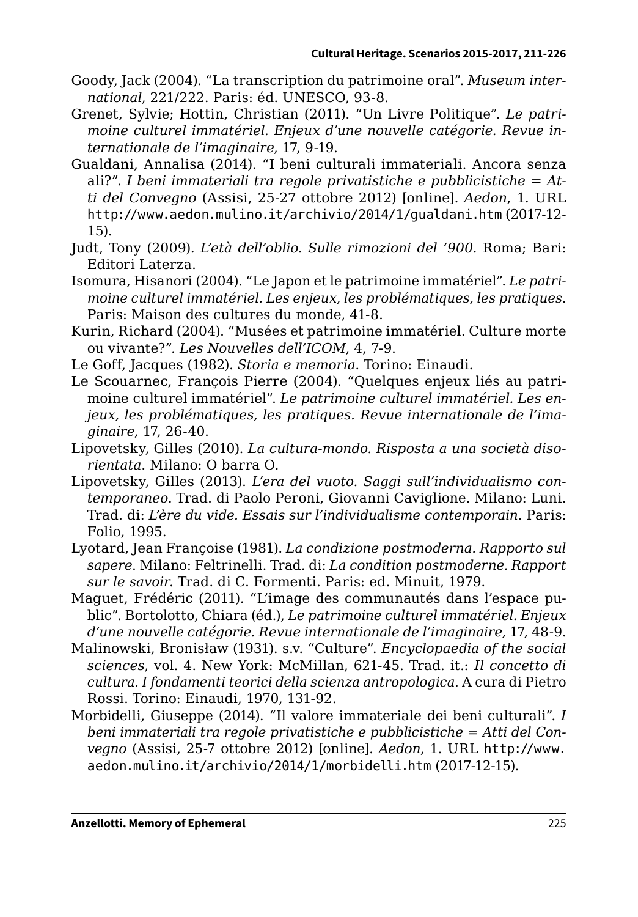- Goody, Jack (2004). "La transcription du patrimoine oral". *Museum international*, 221/222. Paris: éd. UNESCO, 93-8.
- Grenet, Sylvie; Hottin, Christian (2011). "Un Livre Politique". *Le patrimoine culturel immatériel. Enjeux d'une nouvelle catégorie. Revue internationale de l'imaginaire*, 17, 9-19.
- Gualdani, Annalisa (2014). "I beni culturali immateriali. Ancora senza ali?". *I beni immateriali tra regole privatistiche e pubblicistiche = Atti del Convegno* (Assisi, 25-27 ottobre 2012) [online]. *Aedon*, 1. URL <http://www.aedon.mulino.it/archivio/2014/1/gualdani.htm> (2017-12- 15).
- Judt, Tony (2009). *L'età dell'oblio. Sulle rimozioni del '900*. Roma; Bari: Editori Laterza.
- Isomura, Hisanori (2004). "Le Japon et le patrimoine immatériel". *Le patrimoine culturel immatériel. Les enjeux, les problématiques, les pratiques*. Paris: Maison des cultures du monde, 41-8.
- Kurin, Richard (2004). "Musées et patrimoine immatériel. Culture morte ou vivante?". *Les Nouvelles dell'ICOM*, 4, 7-9.
- Le Goff, Jacques (1982). *Storia e memoria*. Torino: Einaudi.
- Le Scouarnec, François Pierre (2004). "Quelques enjeux liés au patrimoine culturel immatériel". *Le patrimoine culturel immatériel. Les enjeux, les problématiques, les pratiques. Revue internationale de l'imaginaire*, 17, 26-40.
- Lipovetsky, Gilles (2010). *La cultura-mondo. Risposta a una società disorientata*. Milano: O barra O.
- Lipovetsky, Gilles (2013). *L'era del vuoto. Saggi sull'individualismo contemporaneo*. Trad. di Paolo Peroni, Giovanni Caviglione. Milano: Luni. Trad. di: *L'ère du vide. Essais sur l'individualisme contemporain*. Paris: Folio, 1995.
- Lyotard, Jean Françoise (1981). *La condizione postmoderna. Rapporto sul sapere*. Milano: Feltrinelli. Trad. di: *La condition postmoderne. Rapport sur le savoir*. Trad. di C. Formenti. Paris: ed. Minuit, 1979.
- Maguet, Frédéric (2011). "L'image des communautés dans l'espace public". Bortolotto, Chiara (éd.), *Le patrimoine culturel immatériel. Enjeux d'une nouvelle catégorie. Revue internationale de l'imaginaire,* 17, 48-9.
- Malinowski, Bronisław (1931). s.v. "Culture". *Encyclopaedia of the social sciences*, vol. 4. New York: McMillan, 621-45. Trad. it.: *Il concetto di cultura. I fondamenti teorici della scienza antropologica*. A cura di Pietro Rossi. Torino: Einaudi, 1970, 131-92.
- Morbidelli, Giuseppe (2014). "Il valore immateriale dei beni culturali". *I beni immateriali tra regole privatistiche e pubblicistiche = Atti del Convegno* (Assisi, 25-7 ottobre 2012) [online]. *Aedon*, 1. URL [http://www.](http://www.aedon.mulino.it/archivio/2014/1/morbidelli.htm) [aedon.mulino.it/archivio/2014/1/morbidelli.htm](http://www.aedon.mulino.it/archivio/2014/1/morbidelli.htm) (2017-12-15).